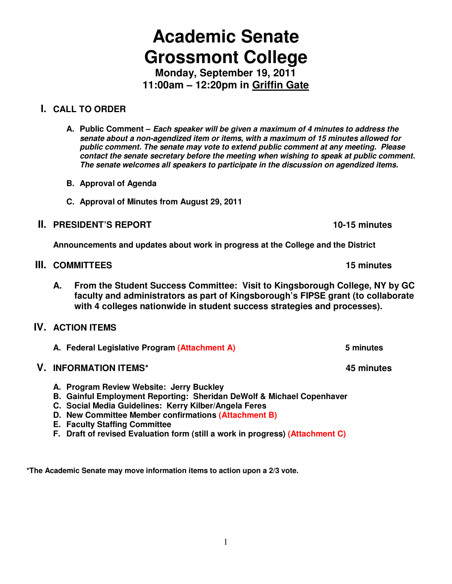# **Academic Senate Grossmont College**

**Monday, September 19, 2011 11:00am – 12:20pm in Griffin Gate** 

# **I. CALL TO ORDER**

**A. Public Comment – Each speaker will be given a maximum of 4 minutes to address the senate about a non-agendized item or items, with a maximum of 15 minutes allowed for public comment. The senate may vote to extend public comment at any meeting. Please contact the senate secretary before the meeting when wishing to speak at public comment. The senate welcomes all speakers to participate in the discussion on agendized items.**

- **B. Approval of Agenda**
- **C. Approval of Minutes from August 29, 2011**

# **II. PRESIDENT'S REPORT 10-15 minutes**

**Announcements and updates about work in progress at the College and the District** 

# **III.** COMMITTEES **15 minutes 15 minutes**

**A. From the Student Success Committee: Visit to Kingsborough College, NY by GC faculty and administrators as part of Kingsborough's FIPSE grant (to collaborate with 4 colleges nationwide in student success strategies and processes).** 

# **IV. ACTION ITEMS**

**A. Federal Legislative Program (Attachment A) 5 minutes** 

# **V. INFORMATION ITEMS\* 45 minutes**

- **A. Program Review Website: Jerry Buckley**
- **B. Gainful Employment Reporting: Sheridan DeWolf & Michael Copenhaver**
- **C. Social Media Guidelines: Kerry Kilber/Angela Feres**
- **D. New Committee Member confirmations (Attachment B)**
- **E. Faculty Staffing Committee**
- **F. Draft of revised Evaluation form (still a work in progress) (Attachment C)**

**\*The Academic Senate may move information items to action upon a 2/3 vote.**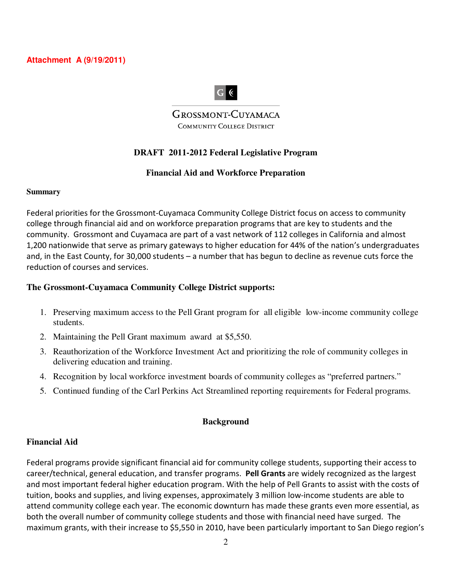**Attachment A (9/19/2011)** 

# $G$   $($

**GROSSMONT-CUYAMACA COMMUNITY COLLEGE DISTRICT** 

## **DRAFT 2011-2012 Federal Legislative Program**

## **Financial Aid and Workforce Preparation**

#### **Summary**

Federal priorities for the Grossmont-Cuyamaca Community College District focus on access to community college through financial aid and on workforce preparation programs that are key to students and the community. Grossmont and Cuyamaca are part of a vast network of 112 colleges in California and almost 1,200 nationwide that serve as primary gateways to higher education for 44% of the nation's undergraduates and, in the East County, for 30,000 students – a number that has begun to decline as revenue cuts force the reduction of courses and services.

#### **The Grossmont-Cuyamaca Community College District supports:**

- 1. Preserving maximum access to the Pell Grant program for all eligible low-income community college students.
- 2. Maintaining the Pell Grant maximum award at \$5,550.
- 3. Reauthorization of the Workforce Investment Act and prioritizing the role of community colleges in delivering education and training.
- 4. Recognition by local workforce investment boards of community colleges as "preferred partners."
- 5. Continued funding of the Carl Perkins Act Streamlined reporting requirements for Federal programs.

## **Background**

## **Financial Aid**

Federal programs provide significant financial aid for community college students, supporting their access to career/technical, general education, and transfer programs. **Pell Grants** are widely recognized as the largest and most important federal higher education program. With the help of Pell Grants to assist with the costs of tuition, books and supplies, and living expenses, approximately 3 million low-income students are able to attend community college each year. The economic downturn has made these grants even more essential, as both the overall number of community college students and those with financial need have surged. The maximum grants, with their increase to \$5,550 in 2010, have been particularly important to San Diego region's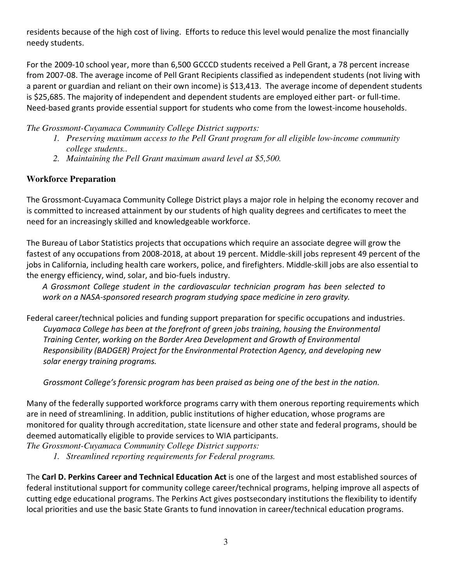residents because of the high cost of living. Efforts to reduce this level would penalize the most financially needy students.

For the 2009-10 school year, more than 6,500 GCCCD students received a Pell Grant, a 78 percent increase from 2007-08. The average income of Pell Grant Recipients classified as independent students (not living with a parent or guardian and reliant on their own income) is \$13,413. The average income of dependent students is \$25,685. The majority of independent and dependent students are employed either part- or full-time. Need-based grants provide essential support for students who come from the lowest-income households.

*The Grossmont-Cuyamaca Community College District supports:* 

- *1. Preserving maximum access to the Pell Grant program for all eligible low-income community college students..*
- *2. Maintaining the Pell Grant maximum award level at \$5,500.*

## **Workforce Preparation**

The Grossmont-Cuyamaca Community College District plays a major role in helping the economy recover and is committed to increased attainment by our students of high quality degrees and certificates to meet the need for an increasingly skilled and knowledgeable workforce.

The Bureau of Labor Statistics projects that occupations which require an associate degree will grow the fastest of any occupations from 2008-2018, at about 19 percent. Middle-skill jobs represent 49 percent of the jobs in California, including health care workers, police, and firefighters. Middle-skill jobs are also essential to the energy efficiency, wind, solar, and bio-fuels industry.

*A Grossmont College student in the cardiovascular technician program has been selected to work on a NASA-sponsored research program studying space medicine in zero gravity.* 

Federal career/technical policies and funding support preparation for specific occupations and industries. *Cuyamaca College has been at the forefront of green jobs training, housing the Environmental Training Center, working on the Border Area Development and Growth of Environmental Responsibility (BADGER) Project for the Environmental Protection Agency, and developing new solar energy training programs.* 

*Grossmont College's forensic program has been praised as being one of the best in the nation.* 

Many of the federally supported workforce programs carry with them onerous reporting requirements which are in need of streamlining. In addition, public institutions of higher education, whose programs are monitored for quality through accreditation, state licensure and other state and federal programs, should be deemed automatically eligible to provide services to WIA participants.

*The Grossmont-Cuyamaca Community College District supports:*

*1. Streamlined reporting requirements for Federal programs.* 

The **Carl D. Perkins Career and Technical Education Act** is one of the largest and most established sources of federal institutional support for community college career/technical programs, helping improve all aspects of cutting edge educational programs. The Perkins Act gives postsecondary institutions the flexibility to identify local priorities and use the basic State Grants to fund innovation in career/technical education programs.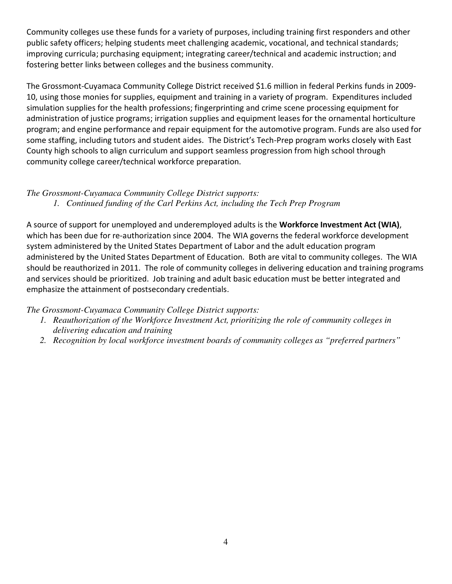Community colleges use these funds for a variety of purposes, including training first responders and other public safety officers; helping students meet challenging academic, vocational, and technical standards; improving curricula; purchasing equipment; integrating career/technical and academic instruction; and fostering better links between colleges and the business community.

The Grossmont-Cuyamaca Community College District received \$1.6 million in federal Perkins funds in 2009- 10, using those monies for supplies, equipment and training in a variety of program. Expenditures included simulation supplies for the health professions; fingerprinting and crime scene processing equipment for administration of justice programs; irrigation supplies and equipment leases for the ornamental horticulture program; and engine performance and repair equipment for the automotive program. Funds are also used for some staffing, including tutors and student aides. The District's Tech-Prep program works closely with East County high schools to align curriculum and support seamless progression from high school through community college career/technical workforce preparation.

# *The Grossmont-Cuyamaca Community College District supports:*

*1. Continued funding of the Carl Perkins Act, including the Tech Prep Program*

A source of support for unemployed and underemployed adults is the **Workforce Investment Act (WIA)**, which has been due for re-authorization since 2004. The WIA governs the federal workforce development system administered by the United States Department of Labor and the adult education program administered by the United States Department of Education. Both are vital to community colleges. The WIA should be reauthorized in 2011. The role of community colleges in delivering education and training programs and services should be prioritized. Job training and adult basic education must be better integrated and emphasize the attainment of postsecondary credentials.

*The Grossmont-Cuyamaca Community College District supports:* 

- *1. Reauthorization of the Workforce Investment Act, prioritizing the role of community colleges in delivering education and training*
- *2. Recognition by local workforce investment boards of community colleges as "preferred partners"*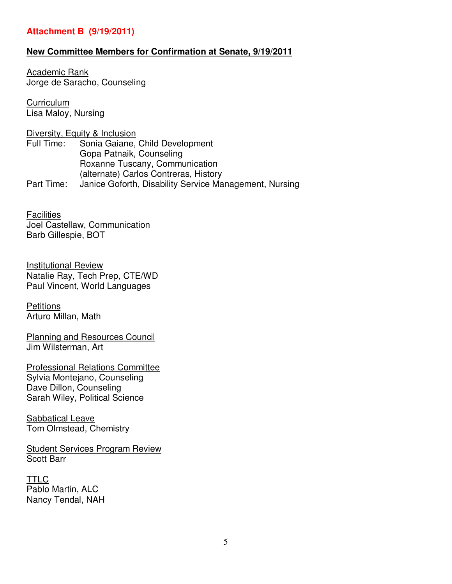## **Attachment B (9/19/2011)**

## **New Committee Members for Confirmation at Senate, 9/19/2011**

Academic Rank Jorge de Saracho, Counseling

**Curriculum** Lisa Maloy, Nursing

Diversity, Equity & Inclusion Full Time: Sonia Gaiane, Child Development Gopa Patnaik, Counseling Roxanne Tuscany, Communication (alternate) Carlos Contreras, History Part Time: Janice Goforth, Disability Service Management, Nursing

**Facilities** Joel Castellaw, Communication Barb Gillespie, BOT

Institutional Review Natalie Ray, Tech Prep, CTE/WD Paul Vincent, World Languages

**Petitions** Arturo Millan, Math

Planning and Resources Council Jim Wilsterman, Art

Professional Relations Committee Sylvia Montejano, Counseling Dave Dillon, Counseling Sarah Wiley, Political Science

Sabbatical Leave Tom Olmstead, Chemistry

Student Services Program Review Scott Barr

**TTLC** Pablo Martin, ALC Nancy Tendal, NAH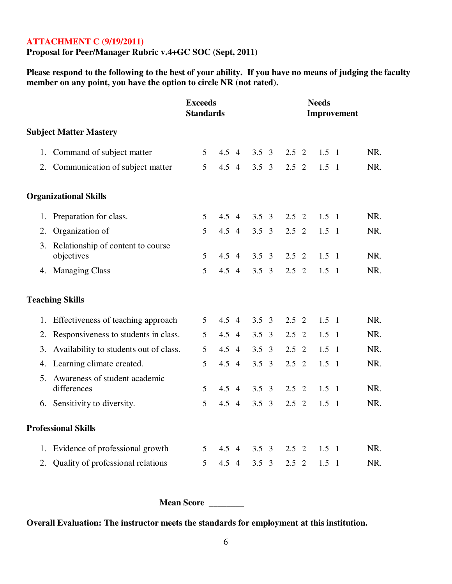## **ATTACHMENT C (9/19/2011)**

**Proposal for Peer/Manager Rubric v.4+GC SOC (Sept, 2011)** 

**Please respond to the following to the best of your ability. If you have no means of judging the faculty member on any point, you have the option to circle NR (not rated).** 

|                               |                                                    | <b>Exceeds</b><br><b>Standards</b> |               |                | <b>Needs</b><br>Improvement |                |               |                |               |                |     |
|-------------------------------|----------------------------------------------------|------------------------------------|---------------|----------------|-----------------------------|----------------|---------------|----------------|---------------|----------------|-----|
| <b>Subject Matter Mastery</b> |                                                    |                                    |               |                |                             |                |               |                |               |                |     |
|                               | 1. Command of subject matter                       | 5                                  | 4.5           | $\overline{4}$ | 3.5                         | 3              | $2.5 \t2$     |                | $1.5 \quad 1$ |                | NR. |
|                               | 2. Communication of subject matter                 | 5                                  | 4.5 4         |                | 3.5                         | 3              | $2.5 \quad 2$ |                | $1.5 \quad 1$ |                | NR. |
|                               | <b>Organizational Skills</b>                       |                                    |               |                |                             |                |               |                |               |                |     |
|                               | 1. Preparation for class.                          | 5                                  | $4.5 \quad 4$ |                | 3.5                         | $\overline{3}$ | $2.5 \quad 2$ |                | $1.5 \quad 1$ |                | NR. |
| 2.                            | Organization of                                    | 5                                  | 4.5 4         |                | $3.5 \quad 3$               |                | $2.5 \t2$     |                | $1.5 \quad 1$ |                | NR. |
|                               | 3. Relationship of content to course<br>objectives | 5                                  | 4.5 4         |                | 3.5                         | $\mathfrak{Z}$ | $2.5 \t2$     |                | $1.5 \quad 1$ |                | NR. |
|                               | 4. Managing Class                                  | 5                                  | 4.5 4         |                | $3.5 \quad 3$               |                | $2.5 \quad 2$ |                | $1.5 \quad 1$ |                | NR. |
|                               | <b>Teaching Skills</b>                             |                                    |               |                |                             |                |               |                |               |                |     |
|                               | 1. Effectiveness of teaching approach              | 5                                  | $4.5 \quad 4$ |                | 3.5                         | $\overline{3}$ | $2.5 \quad 2$ |                | $1.5 \quad 1$ |                | NR. |
|                               | 2. Responsiveness to students in class.            | 5                                  | 4.5 4         |                | 3.5                         | 3              | 2.5           | $\overline{2}$ | 1.5           | - 1            | NR. |
| 3.                            | Availability to students out of class.             | 5                                  | $4.5 \quad 4$ |                | 3.5                         | $\overline{3}$ | $2.5 \t2$     |                | $1.5 \quad 1$ |                | NR. |
|                               | 4. Learning climate created.                       | 5                                  | 4.5 4         |                | 3.5                         | $\overline{3}$ | $2.5 \t2$     |                | 1.5           | $\overline{1}$ | NR. |
| 5.                            | Awareness of student academic<br>differences       | 5                                  | 4.5 4         |                | 3.5                         | 3              | 2.5           | $\overline{2}$ | $1.5 \quad 1$ |                | NR. |
|                               | 6. Sensitivity to diversity.                       | 5                                  | 4.5 4         |                | $3.5 \quad 3$               |                | $2.5 \t2$     |                | 1.5           | $\overline{1}$ | NR. |
|                               | <b>Professional Skills</b>                         |                                    |               |                |                             |                |               |                |               |                |     |
|                               | 1. Evidence of professional growth                 | 5                                  | $4.5 \quad 4$ |                | 3.5                         | 3              | 2.5           | -2             | 1.5           | $\overline{1}$ | NR. |
| 2.                            | Quality of professional relations                  | 5                                  | 4.5           | $\overline{4}$ | 3.5                         | $\overline{3}$ | 2.5           | 2              | 1.5           | $\overline{1}$ | NR. |

**Mean Score \_\_\_\_\_\_\_\_** 

**Overall Evaluation: The instructor meets the standards for employment at this institution.**